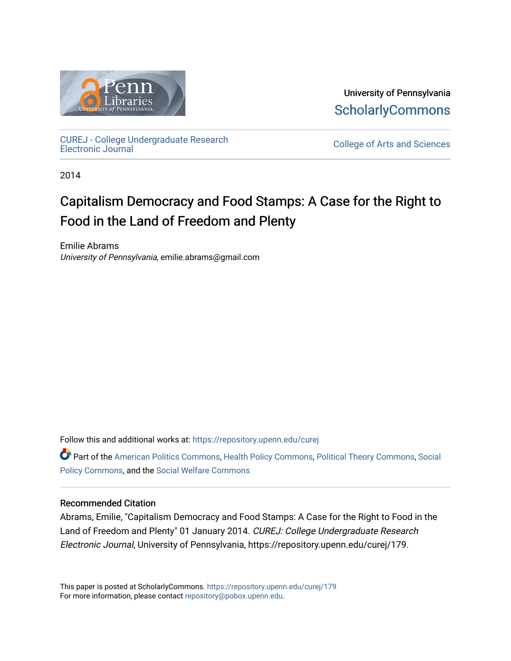

University of Pennsylvania **ScholarlyCommons** 

[CUREJ - College Undergraduate Research](https://repository.upenn.edu/curej) 

College of Arts and Sciences

2014

# Capitalism Democracy and Food Stamps: A Case for the Right to Food in the Land of Freedom and Plenty

Emilie Abrams University of Pennsylvania, emilie.abrams@gmail.com

Follow this and additional works at: [https://repository.upenn.edu/curej](https://repository.upenn.edu/curej?utm_source=repository.upenn.edu%2Fcurej%2F179&utm_medium=PDF&utm_campaign=PDFCoverPages)

Part of the [American Politics Commons,](http://network.bepress.com/hgg/discipline/387?utm_source=repository.upenn.edu%2Fcurej%2F179&utm_medium=PDF&utm_campaign=PDFCoverPages) [Health Policy Commons](http://network.bepress.com/hgg/discipline/395?utm_source=repository.upenn.edu%2Fcurej%2F179&utm_medium=PDF&utm_campaign=PDFCoverPages), [Political Theory Commons,](http://network.bepress.com/hgg/discipline/391?utm_source=repository.upenn.edu%2Fcurej%2F179&utm_medium=PDF&utm_campaign=PDFCoverPages) [Social](http://network.bepress.com/hgg/discipline/1030?utm_source=repository.upenn.edu%2Fcurej%2F179&utm_medium=PDF&utm_campaign=PDFCoverPages)  [Policy Commons](http://network.bepress.com/hgg/discipline/1030?utm_source=repository.upenn.edu%2Fcurej%2F179&utm_medium=PDF&utm_campaign=PDFCoverPages), and the [Social Welfare Commons](http://network.bepress.com/hgg/discipline/401?utm_source=repository.upenn.edu%2Fcurej%2F179&utm_medium=PDF&utm_campaign=PDFCoverPages) 

#### Recommended Citation

Abrams, Emilie, "Capitalism Democracy and Food Stamps: A Case for the Right to Food in the Land of Freedom and Plenty" 01 January 2014. CUREJ: College Undergraduate Research Electronic Journal, University of Pennsylvania, https://repository.upenn.edu/curej/179.

This paper is posted at ScholarlyCommons.<https://repository.upenn.edu/curej/179> For more information, please contact [repository@pobox.upenn.edu.](mailto:repository@pobox.upenn.edu)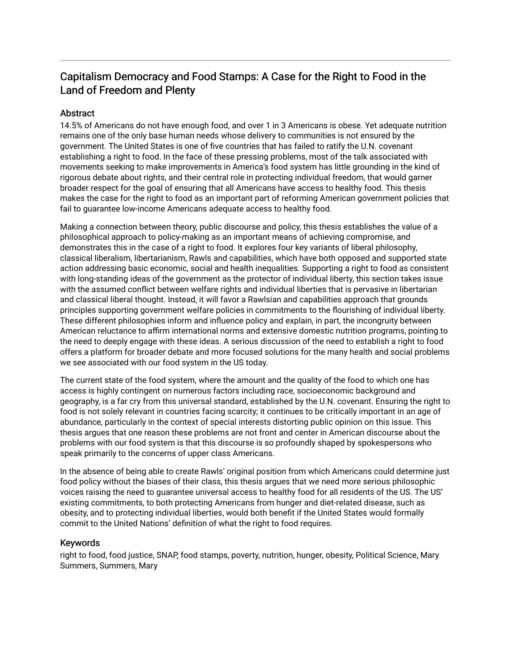# Capitalism Democracy and Food Stamps: A Case for the Right to Food in the Land of Freedom and Plenty

#### **Abstract**

14.5% of Americans do not have enough food, and over 1 in 3 Americans is obese. Yet adequate nutrition remains one of the only base human needs whose delivery to communities is not ensured by the government. The United States is one of five countries that has failed to ratify the U.N. covenant establishing a right to food. In the face of these pressing problems, most of the talk associated with movements seeking to make improvements in America's food system has little grounding in the kind of rigorous debate about rights, and their central role in protecting individual freedom, that would garner broader respect for the goal of ensuring that all Americans have access to healthy food. This thesis makes the case for the right to food as an important part of reforming American government policies that fail to guarantee low-income Americans adequate access to healthy food.

Making a connection between theory, public discourse and policy, this thesis establishes the value of a philosophical approach to policy-making as an important means of achieving compromise, and demonstrates this in the case of a right to food. It explores four key variants of liberal philosophy, classical liberalism, libertarianism, Rawls and capabilities, which have both opposed and supported state action addressing basic economic, social and health inequalities. Supporting a right to food as consistent with long-standing ideas of the government as the protector of individual liberty, this section takes issue with the assumed conflict between welfare rights and individual liberties that is pervasive in libertarian and classical liberal thought. Instead, it will favor a Rawlsian and capabilities approach that grounds principles supporting government welfare policies in commitments to the flourishing of individual liberty. These different philosophies inform and influence policy and explain, in part, the incongruity between American reluctance to affirm international norms and extensive domestic nutrition programs, pointing to the need to deeply engage with these ideas. A serious discussion of the need to establish a right to food offers a platform for broader debate and more focused solutions for the many health and social problems we see associated with our food system in the US today.

The current state of the food system, where the amount and the quality of the food to which one has access is highly contingent on numerous factors including race, socioeconomic background and geography, is a far cry from this universal standard, established by the U.N. covenant. Ensuring the right to food is not solely relevant in countries facing scarcity; it continues to be critically important in an age of abundance, particularly in the context of special interests distorting public opinion on this issue. This thesis argues that one reason these problems are not front and center in American discourse about the problems with our food system is that this discourse is so profoundly shaped by spokespersons who speak primarily to the concerns of upper class Americans.

In the absence of being able to create Rawls' original position from which Americans could determine just food policy without the biases of their class, this thesis argues that we need more serious philosophic voices raising the need to guarantee universal access to healthy food for all residents of the US. The US' existing commitments, to both protecting Americans from hunger and diet-related disease, such as obesity, and to protecting individual liberties, would both benefit if the United States would formally commit to the United Nations' definition of what the right to food requires.

#### Keywords

right to food, food justice, SNAP, food stamps, poverty, nutrition, hunger, obesity, Political Science, Mary Summers, Summers, Mary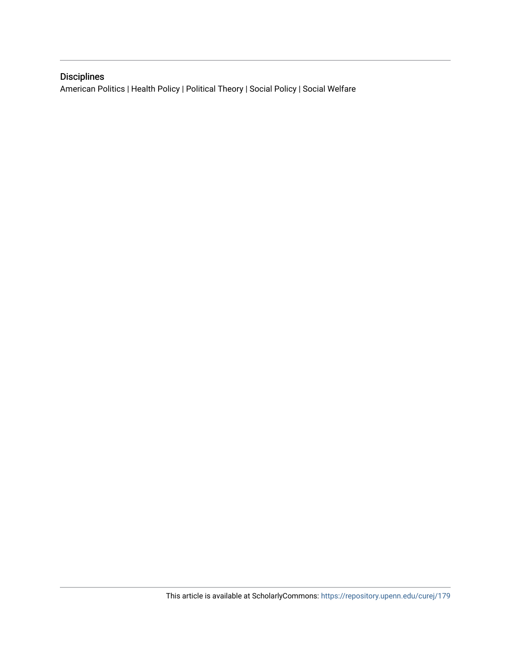# Disciplines

American Politics | Health Policy | Political Theory | Social Policy | Social Welfare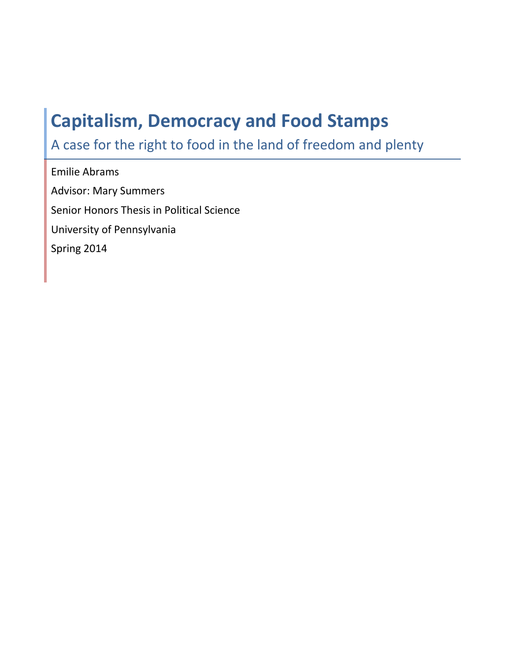# Capitalism, Democracy and Food Stamps

A case for the right to food in the land of freedom and plenty

Emilie Abrams Advisor: Mary Summers Senior Honors Thesis in Political Science University of Pennsylvania Spring 2014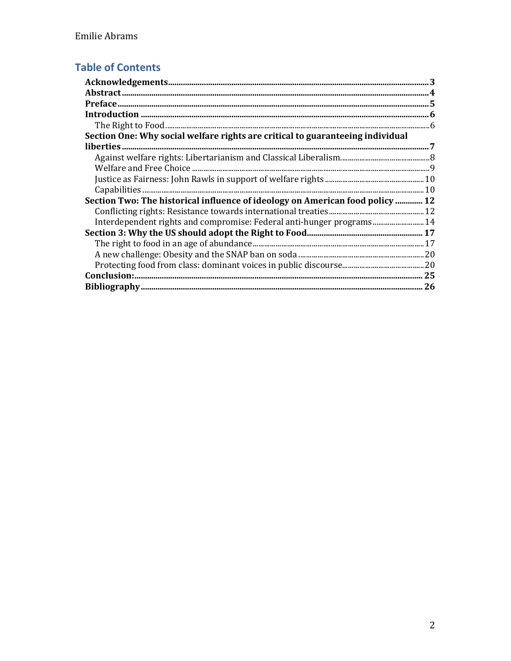# **Table of Contents**

| Section One: Why social welfare rights are critical to guaranteeing individual |  |
|--------------------------------------------------------------------------------|--|
|                                                                                |  |
|                                                                                |  |
|                                                                                |  |
|                                                                                |  |
|                                                                                |  |
| Section Two: The historical influence of ideology on American food policy  12  |  |
|                                                                                |  |
| Interdependent rights and compromise: Federal anti-hunger programs 14          |  |
|                                                                                |  |
|                                                                                |  |
|                                                                                |  |
|                                                                                |  |
| Conclusion:.                                                                   |  |
|                                                                                |  |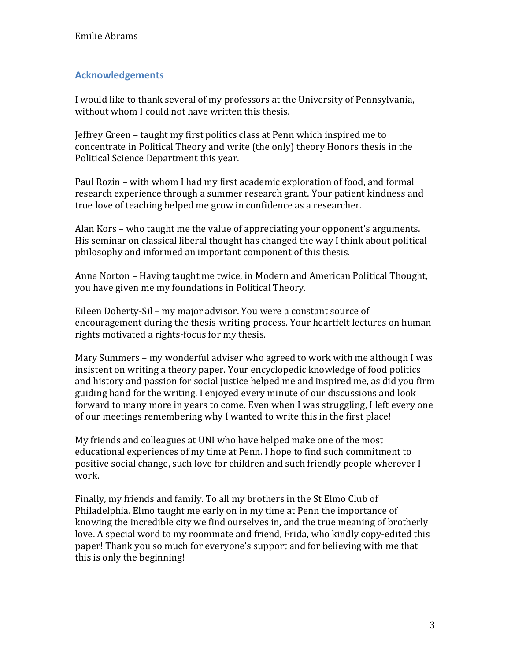## Acknowledgements

I would like to thank several of my professors at the University of Pennsylvania, without whom I could not have written this thesis.

Jeffrey Green – taught my first politics class at Penn which inspired me to concentrate in Political Theory and write (the only) theory Honors thesis in the Political Science Department this year.

Paul Rozin – with whom I had my first academic exploration of food, and formal research experience through a summer research grant. Your patient kindness and true love of teaching helped me grow in confidence as a researcher.

Alan Kors – who taught me the value of appreciating your opponent's arguments. His seminar on classical liberal thought has changed the way I think about political philosophy and informed an important component of this thesis.

Anne Norton – Having taught me twice, in Modern and American Political Thought, you have given me my foundations in Political Theory.

Eileen Doherty-Sil – my major advisor. You were a constant source of encouragement during the thesis-writing process. Your heartfelt lectures on human rights motivated a rights-focus for my thesis.

Mary Summers – my wonderful adviser who agreed to work with me although I was insistent on writing a theory paper. Your encyclopedic knowledge of food politics and history and passion for social justice helped me and inspired me, as did you firm guiding hand for the writing. I enjoyed every minute of our discussions and look forward to many more in years to come. Even when I was struggling, I left every one of our meetings remembering why I wanted to write this in the first place!

My friends and colleagues at UNI who have helped make one of the most educational experiences of my time at Penn. I hope to find such commitment to positive social change, such love for children and such friendly people wherever I work.

Finally, my friends and family. To all my brothers in the St Elmo Club of Philadelphia. Elmo taught me early on in my time at Penn the importance of knowing the incredible city we find ourselves in, and the true meaning of brotherly love. A special word to my roommate and friend, Frida, who kindly copy-edited this paper! Thank you so much for everyone's support and for believing with me that this is only the beginning!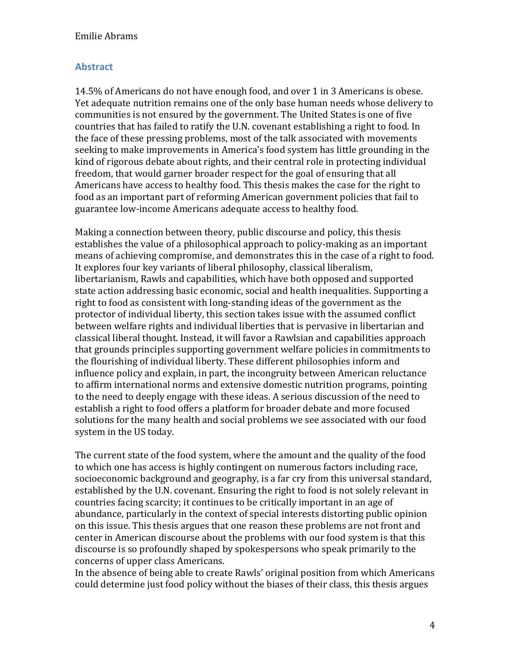#### Abstract

14.5% of Americans do not have enough food, and over 1 in 3 Americans is obese. Yet adequate nutrition remains one of the only base human needs whose delivery to communities is not ensured by the government. The United States is one of five countries that has failed to ratify the U.N. covenant establishing a right to food. In the face of these pressing problems, most of the talk associated with movements seeking to make improvements in America's food system has little grounding in the kind of rigorous debate about rights, and their central role in protecting individual freedom, that would garner broader respect for the goal of ensuring that all Americans have access to healthy food. This thesis makes the case for the right to food as an important part of reforming American government policies that fail to guarantee low-income Americans adequate access to healthy food.

Making a connection between theory, public discourse and policy, this thesis establishes the value of a philosophical approach to policy-making as an important means of achieving compromise, and demonstrates this in the case of a right to food. It explores four key variants of liberal philosophy, classical liberalism, libertarianism, Rawls and capabilities, which have both opposed and supported state action addressing basic economic, social and health inequalities. Supporting a right to food as consistent with long-standing ideas of the government as the protector of individual liberty, this section takes issue with the assumed conflict between welfare rights and individual liberties that is pervasive in libertarian and classical liberal thought. Instead, it will favor a Rawlsian and capabilities approach that grounds principles supporting government welfare policies in commitments to the flourishing of individual liberty. These different philosophies inform and influence policy and explain, in part, the incongruity between American reluctance to affirm international norms and extensive domestic nutrition programs, pointing to the need to deeply engage with these ideas. A serious discussion of the need to establish a right to food offers a platform for broader debate and more focused solutions for the many health and social problems we see associated with our food system in the US today.

The current state of the food system, where the amount and the quality of the food to which one has access is highly contingent on numerous factors including race, socioeconomic background and geography, is a far cry from this universal standard, established by the U.N. covenant. Ensuring the right to food is not solely relevant in countries facing scarcity; it continues to be critically important in an age of abundance, particularly in the context of special interests distorting public opinion on this issue. This thesis argues that one reason these problems are not front and center in American discourse about the problems with our food system is that this discourse is so profoundly shaped by spokespersons who speak primarily to the concerns of upper class Americans.

In the absence of being able to create Rawls' original position from which Americans could determine just food policy without the biases of their class, this thesis argues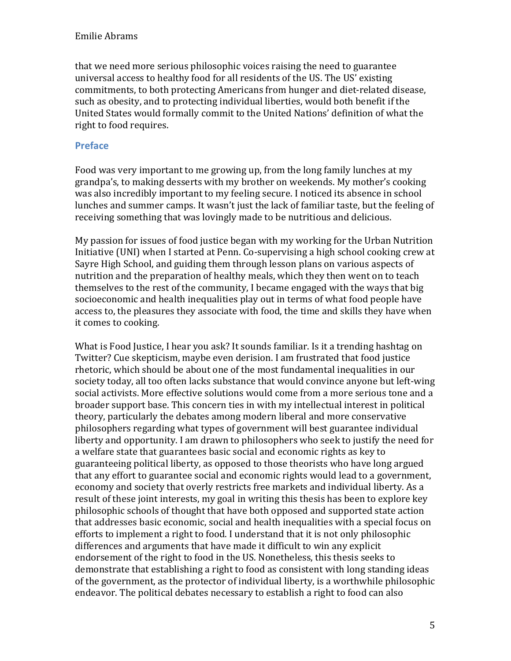that we need more serious philosophic voices raising the need to guarantee universal access to healthy food for all residents of the US. The US' existing commitments, to both protecting Americans from hunger and diet-related disease, such as obesity, and to protecting individual liberties, would both benefit if the United States would formally commit to the United Nations' definition of what the right to food requires.

#### Preface

Food was very important to me growing up, from the long family lunches at my grandpa's, to making desserts with my brother on weekends. My mother's cooking was also incredibly important to my feeling secure. I noticed its absence in school lunches and summer camps. It wasn't just the lack of familiar taste, but the feeling of receiving something that was lovingly made to be nutritious and delicious.

My passion for issues of food justice began with my working for the Urban Nutrition Initiative (UNI) when I started at Penn. Co-supervising a high school cooking crew at Sayre High School, and guiding them through lesson plans on various aspects of nutrition and the preparation of healthy meals, which they then went on to teach themselves to the rest of the community, I became engaged with the ways that big socioeconomic and health inequalities play out in terms of what food people have access to, the pleasures they associate with food, the time and skills they have when it comes to cooking.

What is Food Justice, I hear you ask? It sounds familiar. Is it a trending hashtag on Twitter? Cue skepticism, maybe even derision. I am frustrated that food justice rhetoric, which should be about one of the most fundamental inequalities in our society today, all too often lacks substance that would convince anyone but left-wing social activists. More effective solutions would come from a more serious tone and a broader support base. This concern ties in with my intellectual interest in political theory, particularly the debates among modern liberal and more conservative philosophers regarding what types of government will best guarantee individual liberty and opportunity. I am drawn to philosophers who seek to justify the need for a welfare state that guarantees basic social and economic rights as key to guaranteeing political liberty, as opposed to those theorists who have long argued that any effort to guarantee social and economic rights would lead to a government, economy and society that overly restricts free markets and individual liberty. As a result of these joint interests, my goal in writing this thesis has been to explore key philosophic schools of thought that have both opposed and supported state action that addresses basic economic, social and health inequalities with a special focus on efforts to implement a right to food. I understand that it is not only philosophic differences and arguments that have made it difficult to win any explicit endorsement of the right to food in the US. Nonetheless, this thesis seeks to demonstrate that establishing a right to food as consistent with long standing ideas of the government, as the protector of individual liberty, is a worthwhile philosophic endeavor. The political debates necessary to establish a right to food can also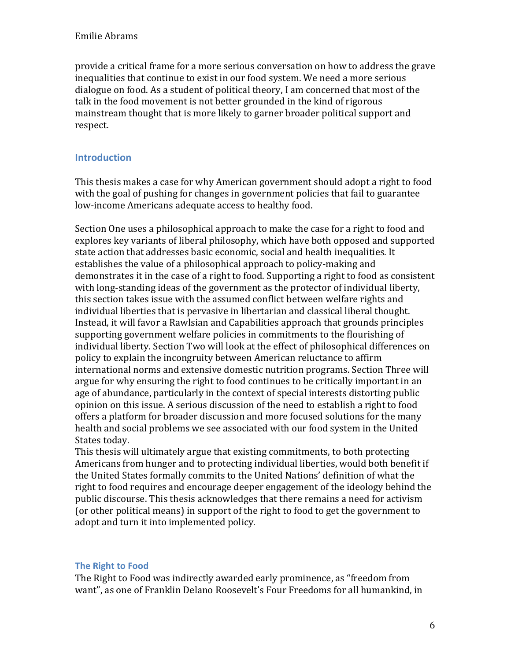provide a critical frame for a more serious conversation on how to address the grave inequalities that continue to exist in our food system. We need a more serious dialogue on food. As a student of political theory, I am concerned that most of the talk in the food movement is not better grounded in the kind of rigorous mainstream thought that is more likely to garner broader political support and respect.

#### Introduction

This thesis makes a case for why American government should adopt a right to food with the goal of pushing for changes in government policies that fail to guarantee low-income Americans adequate access to healthy food.

Section One uses a philosophical approach to make the case for a right to food and explores key variants of liberal philosophy, which have both opposed and supported state action that addresses basic economic, social and health inequalities. It establishes the value of a philosophical approach to policy-making and demonstrates it in the case of a right to food. Supporting a right to food as consistent with long-standing ideas of the government as the protector of individual liberty, this section takes issue with the assumed conflict between welfare rights and individual liberties that is pervasive in libertarian and classical liberal thought. Instead, it will favor a Rawlsian and Capabilities approach that grounds principles supporting government welfare policies in commitments to the flourishing of individual liberty. Section Two will look at the effect of philosophical differences on policy to explain the incongruity between American reluctance to affirm international norms and extensive domestic nutrition programs. Section Three will argue for why ensuring the right to food continues to be critically important in an age of abundance, particularly in the context of special interests distorting public opinion on this issue. A serious discussion of the need to establish a right to food offers a platform for broader discussion and more focused solutions for the many health and social problems we see associated with our food system in the United States today.

This thesis will ultimately argue that existing commitments, to both protecting Americans from hunger and to protecting individual liberties, would both benefit if the United States formally commits to the United Nations' definition of what the right to food requires and encourage deeper engagement of the ideology behind the public discourse. This thesis acknowledges that there remains a need for activism (or other political means) in support of the right to food to get the government to adopt and turn it into implemented policy.

#### The Right to Food

The Right to Food was indirectly awarded early prominence, as "freedom from want", as one of Franklin Delano Roosevelt's Four Freedoms for all humankind, in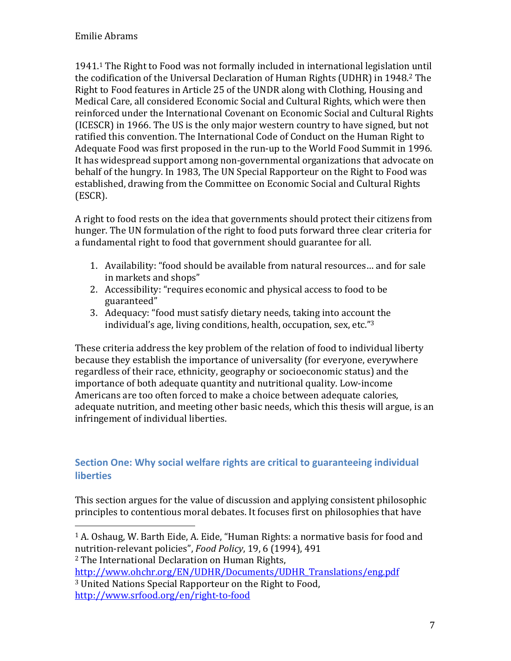1941.1 The Right to Food was not formally included in international legislation until the codification of the Universal Declaration of Human Rights (UDHR) in 1948.<sup>2</sup> The Right to Food features in Article 25 of the UNDR along with Clothing, Housing and Medical Care, all considered Economic Social and Cultural Rights, which were then reinforced under the International Covenant on Economic Social and Cultural Rights (ICESCR) in 1966. The US is the only major western country to have signed, but not ratified this convention. The International Code of Conduct on the Human Right to Adequate Food was first proposed in the run-up to the World Food Summit in 1996. It has widespread support among non-governmental organizations that advocate on behalf of the hungry. In 1983, The UN Special Rapporteur on the Right to Food was established, drawing from the Committee on Economic Social and Cultural Rights (ESCR).

A right to food rests on the idea that governments should protect their citizens from hunger. The UN formulation of the right to food puts forward three clear criteria for a fundamental right to food that government should guarantee for all.

- 1. Availability: "food should be available from natural resources… and for sale in markets and shops"
- 2. Accessibility: "requires economic and physical access to food to be guaranteed"
- 3. Adequacy: "food must satisfy dietary needs, taking into account the individual's age, living conditions, health, occupation, sex, etc."<sup>3</sup>

These criteria address the key problem of the relation of food to individual liberty because they establish the importance of universality (for everyone, everywhere regardless of their race, ethnicity, geography or socioeconomic status) and the importance of both adequate quantity and nutritional quality. Low-income Americans are too often forced to make a choice between adequate calories, adequate nutrition, and meeting other basic needs, which this thesis will argue, is an infringement of individual liberties.

# Section One: Why social welfare rights are critical to guaranteeing individual **liberties**

This section argues for the value of discussion and applying consistent philosophic principles to contentious moral debates. It focuses first on philosophies that have

<sup>2</sup> The International Declaration on Human Rights,

 $\overline{a}$ 

http://www.ohchr.org/EN/UDHR/Documents/UDHR\_Translations/eng.pdf <sup>3</sup> United Nations Special Rapporteur on the Right to Food, http://www.srfood.org/en/right-to-food

<sup>1</sup> A. Oshaug, W. Barth Eide, A. Eide, "Human Rights: a normative basis for food and nutrition-relevant policies", Food Policy, 19, 6 (1994), 491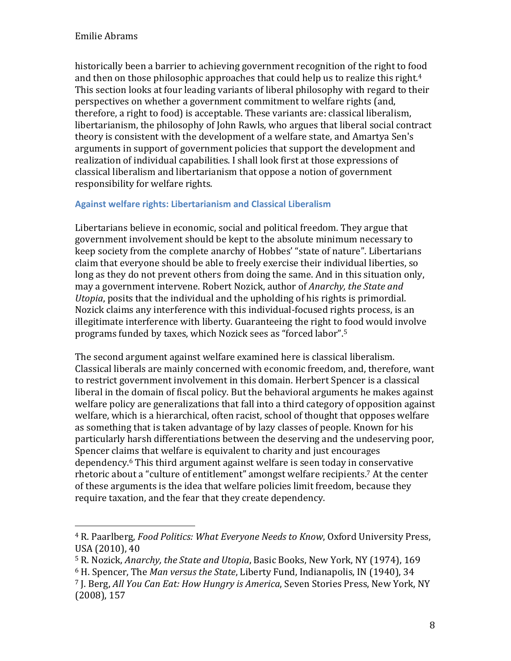$\overline{a}$ 

historically been a barrier to achieving government recognition of the right to food and then on those philosophic approaches that could help us to realize this right.<sup>4</sup> This section looks at four leading variants of liberal philosophy with regard to their perspectives on whether a government commitment to welfare rights (and, therefore, a right to food) is acceptable. These variants are: classical liberalism, libertarianism, the philosophy of John Rawls, who argues that liberal social contract theory is consistent with the development of a welfare state, and Amartya Sen's arguments in support of government policies that support the development and realization of individual capabilities. I shall look first at those expressions of classical liberalism and libertarianism that oppose a notion of government responsibility for welfare rights.

#### Against welfare rights: Libertarianism and Classical Liberalism

Libertarians believe in economic, social and political freedom. They argue that government involvement should be kept to the absolute minimum necessary to keep society from the complete anarchy of Hobbes' "state of nature". Libertarians claim that everyone should be able to freely exercise their individual liberties, so long as they do not prevent others from doing the same. And in this situation only, may a government intervene. Robert Nozick, author of Anarchy, the State and Utopia, posits that the individual and the upholding of his rights is primordial. Nozick claims any interference with this individual-focused rights process, is an illegitimate interference with liberty. Guaranteeing the right to food would involve programs funded by taxes, which Nozick sees as "forced labor".<sup>5</sup>

The second argument against welfare examined here is classical liberalism. Classical liberals are mainly concerned with economic freedom, and, therefore, want to restrict government involvement in this domain. Herbert Spencer is a classical liberal in the domain of fiscal policy. But the behavioral arguments he makes against welfare policy are generalizations that fall into a third category of opposition against welfare, which is a hierarchical, often racist, school of thought that opposes welfare as something that is taken advantage of by lazy classes of people. Known for his particularly harsh differentiations between the deserving and the undeserving poor, Spencer claims that welfare is equivalent to charity and just encourages dependency.6 This third argument against welfare is seen today in conservative rhetoric about a "culture of entitlement" amongst welfare recipients.7 At the center of these arguments is the idea that welfare policies limit freedom, because they require taxation, and the fear that they create dependency.

<sup>4</sup> R. Paarlberg, Food Politics: What Everyone Needs to Know, Oxford University Press, USA (2010), 40

<sup>&</sup>lt;sup>5</sup> R. Nozick, Anarchy, the State and Utopia, Basic Books, New York, NY (1974), 169

<sup>6</sup> H. Spencer, The Man versus the State, Liberty Fund, Indianapolis, IN (1940), 34

<sup>7</sup> J. Berg, All You Can Eat: How Hungry is America, Seven Stories Press, New York, NY (2008), 157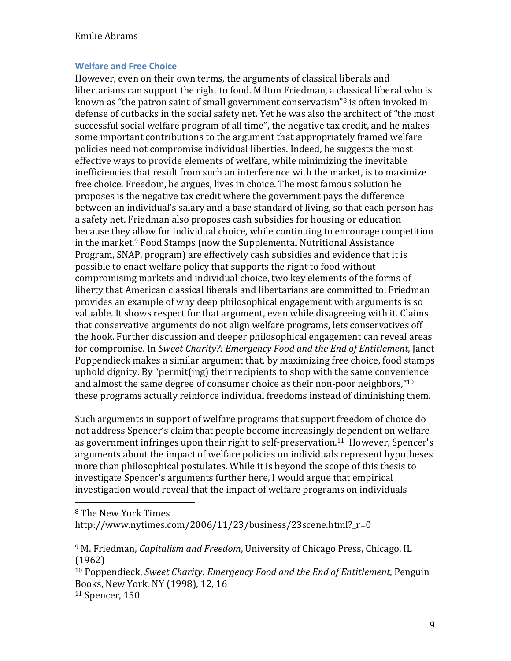#### Welfare and Free Choice

However, even on their own terms, the arguments of classical liberals and libertarians can support the right to food. Milton Friedman, a classical liberal who is known as "the patron saint of small government conservatism"8 is often invoked in defense of cutbacks in the social safety net. Yet he was also the architect of "the most successful social welfare program of all time", the negative tax credit, and he makes some important contributions to the argument that appropriately framed welfare policies need not compromise individual liberties. Indeed, he suggests the most effective ways to provide elements of welfare, while minimizing the inevitable inefficiencies that result from such an interference with the market, is to maximize free choice. Freedom, he argues, lives in choice. The most famous solution he proposes is the negative tax credit where the government pays the difference between an individual's salary and a base standard of living, so that each person has a safety net. Friedman also proposes cash subsidies for housing or education because they allow for individual choice, while continuing to encourage competition in the market.9 Food Stamps (now the Supplemental Nutritional Assistance Program, SNAP, program) are effectively cash subsidies and evidence that it is possible to enact welfare policy that supports the right to food without compromising markets and individual choice, two key elements of the forms of liberty that American classical liberals and libertarians are committed to. Friedman provides an example of why deep philosophical engagement with arguments is so valuable. It shows respect for that argument, even while disagreeing with it. Claims that conservative arguments do not align welfare programs, lets conservatives off the hook. Further discussion and deeper philosophical engagement can reveal areas for compromise. In Sweet Charity?: Emergency Food and the End of Entitlement, Janet Poppendieck makes a similar argument that, by maximizing free choice, food stamps uphold dignity. By "permit(ing) their recipients to shop with the same convenience and almost the same degree of consumer choice as their non-poor neighbors,"<sup>10</sup> these programs actually reinforce individual freedoms instead of diminishing them.

Such arguments in support of welfare programs that support freedom of choice do not address Spencer's claim that people become increasingly dependent on welfare as government infringes upon their right to self-preservation.11 However, Spencer's arguments about the impact of welfare policies on individuals represent hypotheses more than philosophical postulates. While it is beyond the scope of this thesis to investigate Spencer's arguments further here, I would argue that empirical investigation would reveal that the impact of welfare programs on individuals

<sup>8</sup> The New York Times

 $\overline{a}$ 

http://www.nytimes.com/2006/11/23/business/23scene.html?r=0

<sup>&</sup>lt;sup>9</sup> M. Friedman, *Capitalism and Freedom*, University of Chicago Press, Chicago, IL (1962)

<sup>&</sup>lt;sup>10</sup> Poppendieck, Sweet Charity: Emergency Food and the End of Entitlement, Penguin Books, New York, NY (1998), 12, 16

<sup>11</sup> Spencer, 150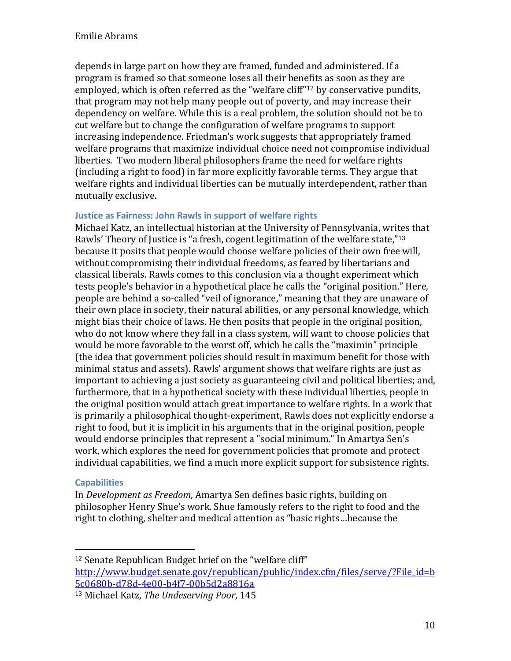depends in large part on how they are framed, funded and administered. If a program is framed so that someone loses all their benefits as soon as they are employed, which is often referred as the "welfare cliff"12 by conservative pundits, that program may not help many people out of poverty, and may increase their dependency on welfare. While this is a real problem, the solution should not be to cut welfare but to change the configuration of welfare programs to support increasing independence. Friedman's work suggests that appropriately framed welfare programs that maximize individual choice need not compromise individual liberties. Two modern liberal philosophers frame the need for welfare rights (including a right to food) in far more explicitly favorable terms. They argue that welfare rights and individual liberties can be mutually interdependent, rather than mutually exclusive.

#### Justice as Fairness: John Rawls in support of welfare rights

Michael Katz, an intellectual historian at the University of Pennsylvania, writes that Rawls' Theory of Justice is "a fresh, cogent legitimation of the welfare state."<sup>13</sup> because it posits that people would choose welfare policies of their own free will, without compromising their individual freedoms, as feared by libertarians and classical liberals. Rawls comes to this conclusion via a thought experiment which tests people's behavior in a hypothetical place he calls the "original position." Here, people are behind a so-called "veil of ignorance," meaning that they are unaware of their own place in society, their natural abilities, or any personal knowledge, which might bias their choice of laws. He then posits that people in the original position, who do not know where they fall in a class system, will want to choose policies that would be more favorable to the worst off, which he calls the "maximin" principle (the idea that government policies should result in maximum benefit for those with minimal status and assets). Rawls' argument shows that welfare rights are just as important to achieving a just society as guaranteeing civil and political liberties; and, furthermore, that in a hypothetical society with these individual liberties, people in the original position would attach great importance to welfare rights. In a work that is primarily a philosophical thought-experiment, Rawls does not explicitly endorse a right to food, but it is implicit in his arguments that in the original position, people would endorse principles that represent a "social minimum." In Amartya Sen's work, which explores the need for government policies that promote and protect individual capabilities, we find a much more explicit support for subsistence rights.

#### **Capabilities**

 $\overline{a}$ 

In Development as Freedom, Amartya Sen defines basic rights, building on philosopher Henry Shue's work. Shue famously refers to the right to food and the right to clothing, shelter and medical attention as "basic rights…because the

<sup>12</sup> Senate Republican Budget brief on the "welfare cliff"

http://www.budget.senate.gov/republican/public/index.cfm/files/serve/?File\_id=b 5c0680b-d78d-4e00-b4f7-00b5d2a8816a

<sup>13</sup> Michael Katz, The Undeserving Poor, 145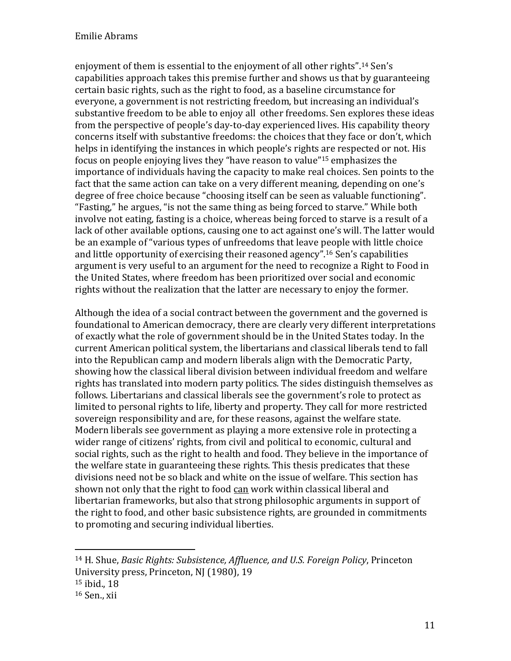enjoyment of them is essential to the enjoyment of all other rights".14 Sen's capabilities approach takes this premise further and shows us that by guaranteeing certain basic rights, such as the right to food, as a baseline circumstance for everyone, a government is not restricting freedom, but increasing an individual's substantive freedom to be able to enjoy all other freedoms. Sen explores these ideas from the perspective of people's day-to-day experienced lives. His capability theory concerns itself with substantive freedoms: the choices that they face or don't, which helps in identifying the instances in which people's rights are respected or not. His focus on people enjoying lives they "have reason to value"15 emphasizes the importance of individuals having the capacity to make real choices. Sen points to the fact that the same action can take on a very different meaning, depending on one's degree of free choice because "choosing itself can be seen as valuable functioning". "Fasting," he argues, "is not the same thing as being forced to starve." While both involve not eating, fasting is a choice, whereas being forced to starve is a result of a lack of other available options, causing one to act against one's will. The latter would be an example of "various types of unfreedoms that leave people with little choice and little opportunity of exercising their reasoned agency".16 Sen's capabilities argument is very useful to an argument for the need to recognize a Right to Food in the United States, where freedom has been prioritized over social and economic rights without the realization that the latter are necessary to enjoy the former.

Although the idea of a social contract between the government and the governed is foundational to American democracy, there are clearly very different interpretations of exactly what the role of government should be in the United States today. In the current American political system, the libertarians and classical liberals tend to fall into the Republican camp and modern liberals align with the Democratic Party, showing how the classical liberal division between individual freedom and welfare rights has translated into modern party politics. The sides distinguish themselves as follows. Libertarians and classical liberals see the government's role to protect as limited to personal rights to life, liberty and property. They call for more restricted sovereign responsibility and are, for these reasons, against the welfare state. Modern liberals see government as playing a more extensive role in protecting a wider range of citizens' rights, from civil and political to economic, cultural and social rights, such as the right to health and food. They believe in the importance of the welfare state in guaranteeing these rights. This thesis predicates that these divisions need not be so black and white on the issue of welfare. This section has shown not only that the right to food can work within classical liberal and libertarian frameworks, but also that strong philosophic arguments in support of the right to food, and other basic subsistence rights, are grounded in commitments to promoting and securing individual liberties.

<u>.</u>

<sup>14</sup> H. Shue, Basic Rights: Subsistence, Affluence, and U.S. Foreign Policy, Princeton University press, Princeton, NJ (1980), 19 <sup>15</sup> ibid., 18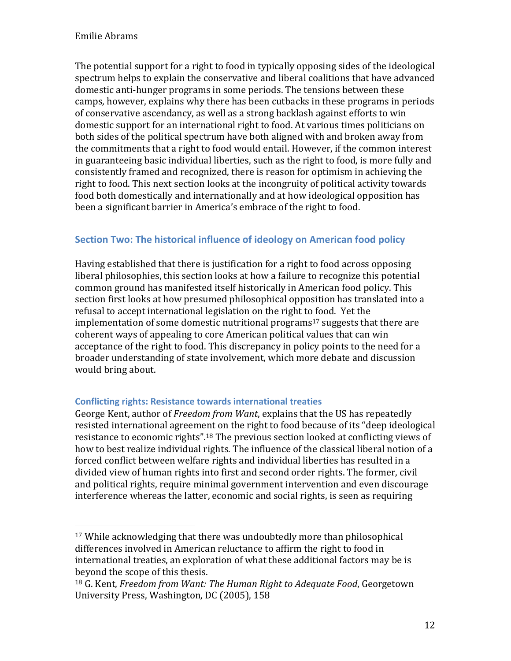<u>.</u>

The potential support for a right to food in typically opposing sides of the ideological spectrum helps to explain the conservative and liberal coalitions that have advanced domestic anti-hunger programs in some periods. The tensions between these camps, however, explains why there has been cutbacks in these programs in periods of conservative ascendancy, as well as a strong backlash against efforts to win domestic support for an international right to food. At various times politicians on both sides of the political spectrum have both aligned with and broken away from the commitments that a right to food would entail. However, if the common interest in guaranteeing basic individual liberties, such as the right to food, is more fully and consistently framed and recognized, there is reason for optimism in achieving the right to food. This next section looks at the incongruity of political activity towards food both domestically and internationally and at how ideological opposition has been a significant barrier in America's embrace of the right to food.

# Section Two: The historical influence of ideology on American food policy

Having established that there is justification for a right to food across opposing liberal philosophies, this section looks at how a failure to recognize this potential common ground has manifested itself historically in American food policy. This section first looks at how presumed philosophical opposition has translated into a refusal to accept international legislation on the right to food. Yet the implementation of some domestic nutritional programs <sup>17</sup> suggests that there are coherent ways of appealing to core American political values that can win acceptance of the right to food. This discrepancy in policy points to the need for a broader understanding of state involvement, which more debate and discussion would bring about.

#### Conflicting rights: Resistance towards international treaties

George Kent, author of Freedom from Want, explains that the US has repeatedly resisted international agreement on the right to food because of its "deep ideological resistance to economic rights".18 The previous section looked at conflicting views of how to best realize individual rights. The influence of the classical liberal notion of a forced conflict between welfare rights and individual liberties has resulted in a divided view of human rights into first and second order rights. The former, civil and political rights, require minimal government intervention and even discourage interference whereas the latter, economic and social rights, is seen as requiring

<sup>17</sup> While acknowledging that there was undoubtedly more than philosophical differences involved in American reluctance to affirm the right to food in international treaties, an exploration of what these additional factors may be is beyond the scope of this thesis.

<sup>&</sup>lt;sup>18</sup> G. Kent, Freedom from Want: The Human Right to Adequate Food, Georgetown University Press, Washington, DC (2005), 158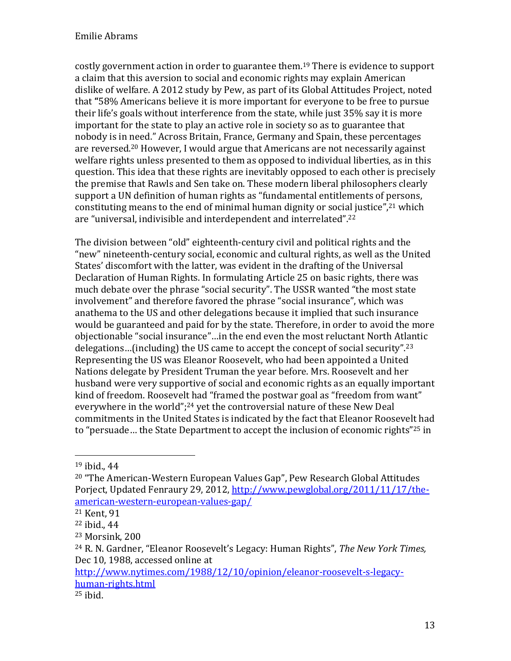costly government action in order to guarantee them. <sup>19</sup> There is evidence to support a claim that this aversion to social and economic rights may explain American dislike of welfare. A 2012 study by Pew, as part of its Global Attitudes Project, noted that "58% Americans believe it is more important for everyone to be free to pursue their life's goals without interference from the state, while just 35% say it is more important for the state to play an active role in society so as to guarantee that nobody is in need." Across Britain, France, Germany and Spain, these percentages are reversed.20 However, I would argue that Americans are not necessarily against welfare rights unless presented to them as opposed to individual liberties, as in this question. This idea that these rights are inevitably opposed to each other is precisely the premise that Rawls and Sen take on. These modern liberal philosophers clearly support a UN definition of human rights as "fundamental entitlements of persons, constituting means to the end of minimal human dignity or social justice",<sup>21</sup> which are "universal, indivisible and interdependent and interrelated".<sup>22</sup>

The division between "old" eighteenth-century civil and political rights and the "new" nineteenth-century social, economic and cultural rights, as well as the United States' discomfort with the latter, was evident in the drafting of the Universal Declaration of Human Rights. In formulating Article 25 on basic rights, there was much debate over the phrase "social security". The USSR wanted "the most state involvement" and therefore favored the phrase "social insurance", which was anathema to the US and other delegations because it implied that such insurance would be guaranteed and paid for by the state. Therefore, in order to avoid the more objectionable "social insurance"…in the end even the most reluctant North Atlantic delegations…(including) the US came to accept the concept of social security".<sup>23</sup> Representing the US was Eleanor Roosevelt, who had been appointed a United Nations delegate by President Truman the year before. Mrs. Roosevelt and her husband were very supportive of social and economic rights as an equally important kind of freedom. Roosevelt had "framed the postwar goal as "freedom from want" everywhere in the world";<sup>24</sup> yet the controversial nature of these New Deal commitments in the United States is indicated by the fact that Eleanor Roosevelt had to "persuade… the State Department to accept the inclusion of economic rights"25 in

 $\overline{\phantom{a}}$ 

<sup>19</sup> ibid., 44

<sup>20</sup> "The American-Western European Values Gap", Pew Research Global Attitudes Porject, Updated Fenraury 29, 2012, http://www.pewglobal.org/2011/11/17/theamerican-western-european-values-gap/

<sup>21</sup> Kent, 91

<sup>22</sup> ibid., 44

<sup>23</sup> Morsink, 200

<sup>&</sup>lt;sup>24</sup> R. N. Gardner, "Eleanor Roosevelt's Legacy: Human Rights", *The New York Times*, Dec 10, 1988, accessed online at

http://www.nytimes.com/1988/12/10/opinion/eleanor-roosevelt-s-legacyhuman-rights.html

 $25$  ibid.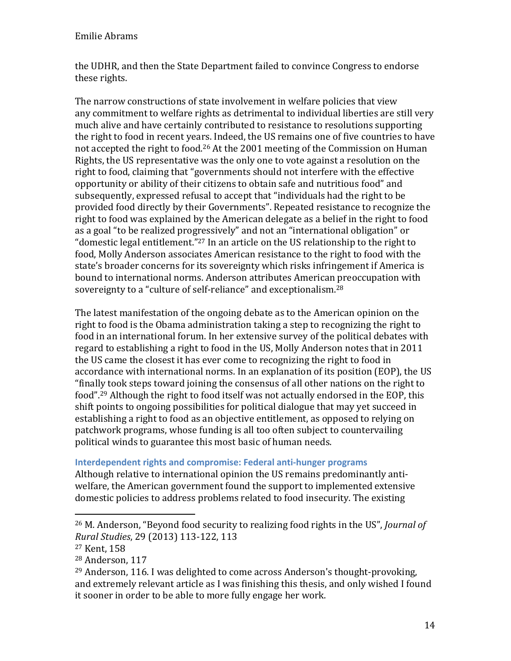the UDHR, and then the State Department failed to convince Congress to endorse these rights.

The narrow constructions of state involvement in welfare policies that view any commitment to welfare rights as detrimental to individual liberties are still very much alive and have certainly contributed to resistance to resolutions supporting the right to food in recent years. Indeed, the US remains one of five countries to have not accepted the right to food.26 At the 2001 meeting of the Commission on Human Rights, the US representative was the only one to vote against a resolution on the right to food, claiming that "governments should not interfere with the effective opportunity or ability of their citizens to obtain safe and nutritious food" and subsequently, expressed refusal to accept that "individuals had the right to be provided food directly by their Governments". Repeated resistance to recognize the right to food was explained by the American delegate as a belief in the right to food as a goal "to be realized progressively" and not an "international obligation" or "domestic legal entitlement."27 In an article on the US relationship to the right to food, Molly Anderson associates American resistance to the right to food with the state's broader concerns for its sovereignty which risks infringement if America is bound to international norms. Anderson attributes American preoccupation with sovereignty to a "culture of self-reliance" and exceptionalism.<sup>28</sup>

The latest manifestation of the ongoing debate as to the American opinion on the right to food is the Obama administration taking a step to recognizing the right to food in an international forum. In her extensive survey of the political debates with regard to establishing a right to food in the US, Molly Anderson notes that in 2011 the US came the closest it has ever come to recognizing the right to food in accordance with international norms. In an explanation of its position (EOP), the US "finally took steps toward joining the consensus of all other nations on the right to food".29 Although the right to food itself was not actually endorsed in the EOP, this shift points to ongoing possibilities for political dialogue that may yet succeed in establishing a right to food as an objective entitlement, as opposed to relying on patchwork programs, whose funding is all too often subject to countervailing political winds to guarantee this most basic of human needs.

#### Interdependent rights and compromise: Federal anti-hunger programs

Although relative to international opinion the US remains predominantly antiwelfare, the American government found the support to implemented extensive domestic policies to address problems related to food insecurity. The existing

 $\overline{a}$ 

<sup>26</sup> M. Anderson, "Beyond food security to realizing food rights in the US", Journal of Rural Studies, 29 (2013) 113-122, 113

<sup>27</sup> Kent, 158

<sup>28</sup> Anderson, 117

<sup>29</sup> Anderson, 116. I was delighted to come across Anderson's thought-provoking, and extremely relevant article as I was finishing this thesis, and only wished I found it sooner in order to be able to more fully engage her work.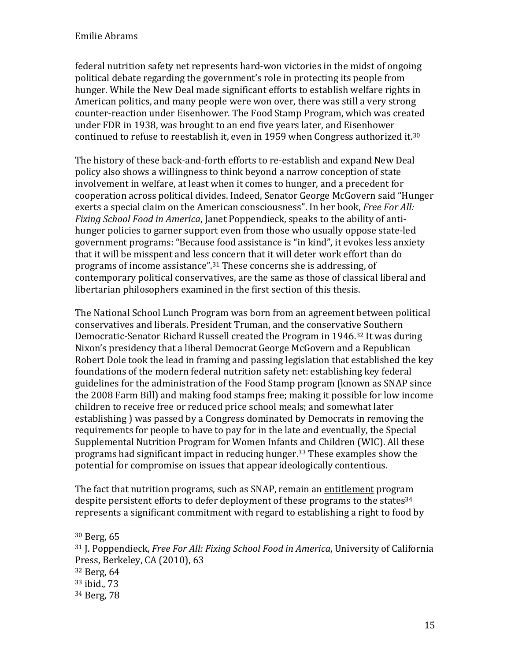federal nutrition safety net represents hard-won victories in the midst of ongoing political debate regarding the government's role in protecting its people from hunger. While the New Deal made significant efforts to establish welfare rights in American politics, and many people were won over, there was still a very strong counter-reaction under Eisenhower. The Food Stamp Program, which was created under FDR in 1938, was brought to an end five years later, and Eisenhower continued to refuse to reestablish it, even in 1959 when Congress authorized it.<sup>30</sup>

The history of these back-and-forth efforts to re-establish and expand New Deal policy also shows a willingness to think beyond a narrow conception of state involvement in welfare, at least when it comes to hunger, and a precedent for cooperation across political divides. Indeed, Senator George McGovern said "Hunger exerts a special claim on the American consciousness". In her book, Free For All: Fixing School Food in America, Janet Poppendieck, speaks to the ability of antihunger policies to garner support even from those who usually oppose state-led government programs: "Because food assistance is "in kind", it evokes less anxiety that it will be misspent and less concern that it will deter work effort than do programs of income assistance".31 These concerns she is addressing, of contemporary political conservatives, are the same as those of classical liberal and libertarian philosophers examined in the first section of this thesis.

The National School Lunch Program was born from an agreement between political conservatives and liberals. President Truman, and the conservative Southern Democratic-Senator Richard Russell created the Program in 1946.32 It was during Nixon's presidency that a liberal Democrat George McGovern and a Republican Robert Dole took the lead in framing and passing legislation that established the key foundations of the modern federal nutrition safety net: establishing key federal guidelines for the administration of the Food Stamp program (known as SNAP since the 2008 Farm Bill) and making food stamps free; making it possible for low income children to receive free or reduced price school meals; and somewhat later establishing ) was passed by a Congress dominated by Democrats in removing the requirements for people to have to pay for in the late and eventually, the Special Supplemental Nutrition Program for Women Infants and Children (WIC). All these programs had significant impact in reducing hunger.33 These examples show the potential for compromise on issues that appear ideologically contentious.

The fact that nutrition programs, such as SNAP, remain an entitlement program despite persistent efforts to defer deployment of these programs to the states<sup>34</sup> represents a significant commitment with regard to establishing a right to food by

<u>.</u>

<sup>30</sup> Berg, 65

<sup>&</sup>lt;sup>31</sup> J. Poppendieck, *Free For All: Fixing School Food in America*, University of California Press, Berkeley, CA (2010), 63

<sup>32</sup> Berg, 64

<sup>33</sup> ibid., 73

<sup>34</sup> Berg, 78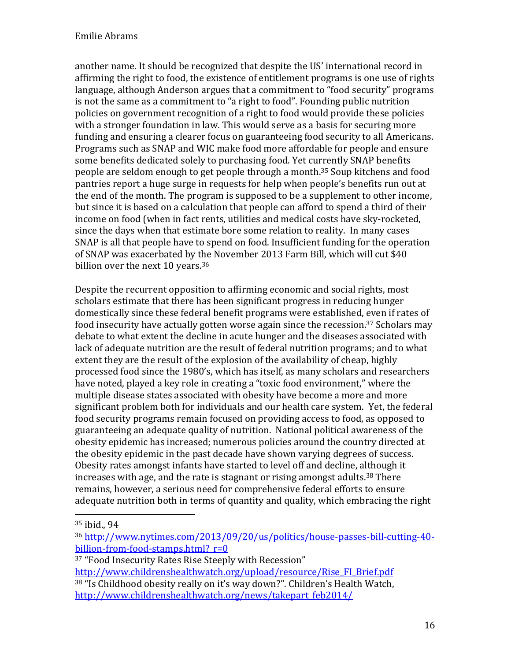another name. It should be recognized that despite the US' international record in affirming the right to food, the existence of entitlement programs is one use of rights language, although Anderson argues that a commitment to "food security" programs is not the same as a commitment to "a right to food". Founding public nutrition policies on government recognition of a right to food would provide these policies with a stronger foundation in law. This would serve as a basis for securing more funding and ensuring a clearer focus on guaranteeing food security to all Americans. Programs such as SNAP and WIC make food more affordable for people and ensure some benefits dedicated solely to purchasing food. Yet currently SNAP benefits people are seldom enough to get people through a month.35 Soup kitchens and food pantries report a huge surge in requests for help when people's benefits run out at the end of the month. The program is supposed to be a supplement to other income, but since it is based on a calculation that people can afford to spend a third of their income on food (when in fact rents, utilities and medical costs have sky-rocketed, since the days when that estimate bore some relation to reality. In many cases SNAP is all that people have to spend on food. Insufficient funding for the operation of SNAP was exacerbated by the November 2013 Farm Bill, which will cut \$40 billion over the next 10 years.<sup>36</sup>

Despite the recurrent opposition to affirming economic and social rights, most scholars estimate that there has been significant progress in reducing hunger domestically since these federal benefit programs were established, even if rates of food insecurity have actually gotten worse again since the recession.<sup>37</sup> Scholars may debate to what extent the decline in acute hunger and the diseases associated with lack of adequate nutrition are the result of federal nutrition programs; and to what extent they are the result of the explosion of the availability of cheap, highly processed food since the 1980's, which has itself, as many scholars and researchers have noted, played a key role in creating a "toxic food environment," where the multiple disease states associated with obesity have become a more and more significant problem both for individuals and our health care system. Yet, the federal food security programs remain focused on providing access to food, as opposed to guaranteeing an adequate quality of nutrition. National political awareness of the obesity epidemic has increased; numerous policies around the country directed at the obesity epidemic in the past decade have shown varying degrees of success. Obesity rates amongst infants have started to level off and decline, although it increases with age, and the rate is stagnant or rising amongst adults.<sup>38</sup> There remains, however, a serious need for comprehensive federal efforts to ensure adequate nutrition both in terms of quantity and quality, which embracing the right

<u>.</u>

<sup>37</sup> "Food Insecurity Rates Rise Steeply with Recession"

<sup>35</sup> ibid., 94

<sup>36</sup> http://www.nytimes.com/2013/09/20/us/politics/house-passes-bill-cutting-40 billion-from-food-stamps.html? $r=0$ 

http://www.childrenshealthwatch.org/upload/resource/Rise\_FI\_Brief.pdf <sup>38</sup> "Is Childhood obesity really on it's way down?". Children's Health Watch, http://www.childrenshealthwatch.org/news/takepart\_feb2014/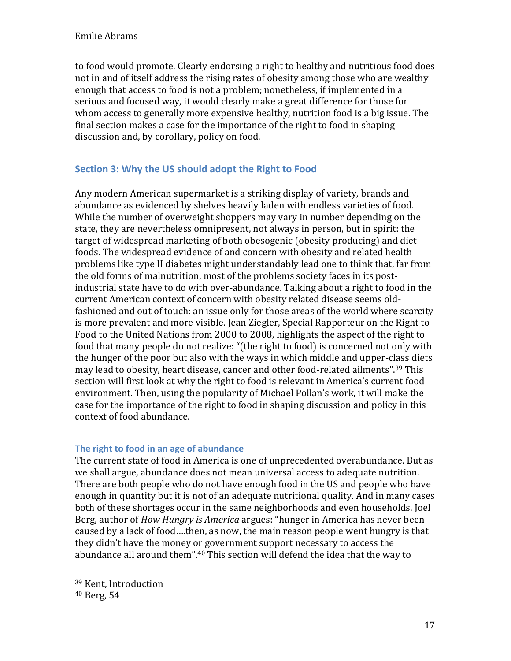to food would promote. Clearly endorsing a right to healthy and nutritious food does not in and of itself address the rising rates of obesity among those who are wealthy enough that access to food is not a problem; nonetheless, if implemented in a serious and focused way, it would clearly make a great difference for those for whom access to generally more expensive healthy, nutrition food is a big issue. The final section makes a case for the importance of the right to food in shaping discussion and, by corollary, policy on food.

# Section 3: Why the US should adopt the Right to Food

Any modern American supermarket is a striking display of variety, brands and abundance as evidenced by shelves heavily laden with endless varieties of food. While the number of overweight shoppers may vary in number depending on the state, they are nevertheless omnipresent, not always in person, but in spirit: the target of widespread marketing of both obesogenic (obesity producing) and diet foods. The widespread evidence of and concern with obesity and related health problems like type II diabetes might understandably lead one to think that, far from the old forms of malnutrition, most of the problems society faces in its postindustrial state have to do with over-abundance. Talking about a right to food in the current American context of concern with obesity related disease seems oldfashioned and out of touch: an issue only for those areas of the world where scarcity is more prevalent and more visible. Jean Ziegler, Special Rapporteur on the Right to Food to the United Nations from 2000 to 2008, highlights the aspect of the right to food that many people do not realize: "(the right to food) is concerned not only with the hunger of the poor but also with the ways in which middle and upper-class diets may lead to obesity, heart disease, cancer and other food-related ailments".39 This section will first look at why the right to food is relevant in America's current food environment. Then, using the popularity of Michael Pollan's work, it will make the case for the importance of the right to food in shaping discussion and policy in this context of food abundance.

### The right to food in an age of abundance

The current state of food in America is one of unprecedented overabundance. But as we shall argue, abundance does not mean universal access to adequate nutrition. There are both people who do not have enough food in the US and people who have enough in quantity but it is not of an adequate nutritional quality. And in many cases both of these shortages occur in the same neighborhoods and even households. Joel Berg, author of How Hungry is America argues: "hunger in America has never been caused by a lack of food….then, as now, the main reason people went hungry is that they didn't have the money or government support necessary to access the abundance all around them".<sup>40</sup> This section will defend the idea that the way to

1

<sup>39</sup> Kent, Introduction

<sup>40</sup> Berg, 54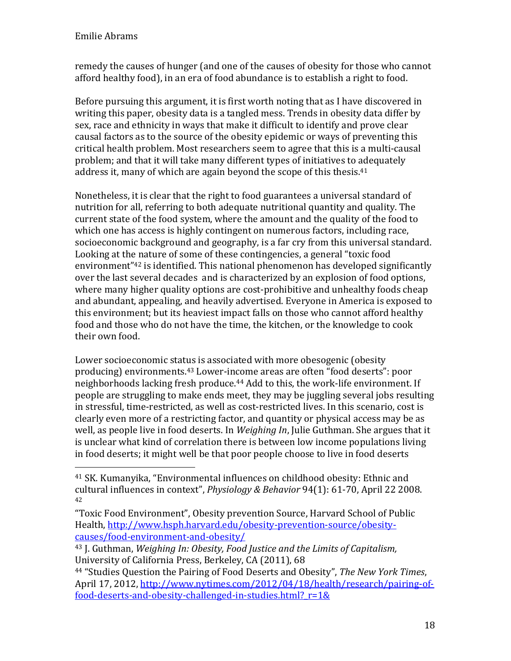<u>.</u>

remedy the causes of hunger (and one of the causes of obesity for those who cannot afford healthy food), in an era of food abundance is to establish a right to food.

Before pursuing this argument, it is first worth noting that as I have discovered in writing this paper, obesity data is a tangled mess. Trends in obesity data differ by sex, race and ethnicity in ways that make it difficult to identify and prove clear causal factors as to the source of the obesity epidemic or ways of preventing this critical health problem. Most researchers seem to agree that this is a multi-causal problem; and that it will take many different types of initiatives to adequately address it, many of which are again beyond the scope of this thesis.<sup>41</sup>

Nonetheless, it is clear that the right to food guarantees a universal standard of nutrition for all, referring to both adequate nutritional quantity and quality. The current state of the food system, where the amount and the quality of the food to which one has access is highly contingent on numerous factors, including race, socioeconomic background and geography, is a far cry from this universal standard. Looking at the nature of some of these contingencies, a general "toxic food environment"42 is identified. This national phenomenon has developed significantly over the last several decades and is characterized by an explosion of food options, where many higher quality options are cost-prohibitive and unhealthy foods cheap and abundant, appealing, and heavily advertised. Everyone in America is exposed to this environment; but its heaviest impact falls on those who cannot afford healthy food and those who do not have the time, the kitchen, or the knowledge to cook their own food.

Lower socioeconomic status is associated with more obesogenic (obesity producing) environments.43 Lower-income areas are often "food deserts": poor neighborhoods lacking fresh produce.<sup>44</sup> Add to this, the work-life environment. If people are struggling to make ends meet, they may be juggling several jobs resulting in stressful, time-restricted, as well as cost-restricted lives. In this scenario, cost is clearly even more of a restricting factor, and quantity or physical access may be as well, as people live in food deserts. In Weighing In, Julie Guthman. She argues that it is unclear what kind of correlation there is between low income populations living in food deserts; it might well be that poor people choose to live in food deserts

<sup>41</sup> SK. Kumanyika, "Environmental influences on childhood obesity: Ethnic and cultural influences in context", Physiology & Behavior 94(1): 61-70, April 22 2008. 42

<sup>&</sup>quot;Toxic Food Environment", Obesity prevention Source, Harvard School of Public Health, http://www.hsph.harvard.edu/obesity-prevention-source/obesitycauses/food-environment-and-obesity/

<sup>43</sup> J. Guthman, Weighing In: Obesity, Food Justice and the Limits of Capitalism, University of California Press, Berkeley, CA (2011), 68

<sup>&</sup>lt;sup>44</sup> "Studies Question the Pairing of Food Deserts and Obesity", The New York Times, April 17, 2012, http://www.nytimes.com/2012/04/18/health/research/pairing-offood-deserts-and-obesity-challenged-in-studies.html?\_r=1&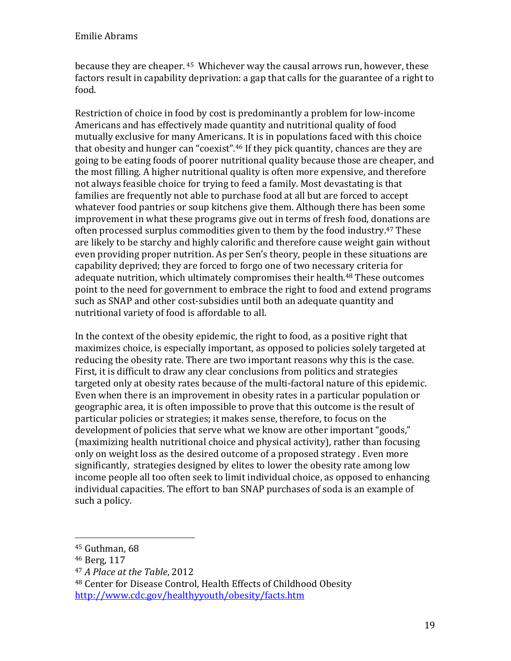because they are cheaper. 45 Whichever way the causal arrows run, however, these factors result in capability deprivation: a gap that calls for the guarantee of a right to food.

Restriction of choice in food by cost is predominantly a problem for low-income Americans and has effectively made quantity and nutritional quality of food mutually exclusive for many Americans. It is in populations faced with this choice that obesity and hunger can "coexist".46 If they pick quantity, chances are they are going to be eating foods of poorer nutritional quality because those are cheaper, and the most filling. A higher nutritional quality is often more expensive, and therefore not always feasible choice for trying to feed a family. Most devastating is that families are frequently not able to purchase food at all but are forced to accept whatever food pantries or soup kitchens give them. Although there has been some improvement in what these programs give out in terms of fresh food, donations are often processed surplus commodities given to them by the food industry.47 These are likely to be starchy and highly calorific and therefore cause weight gain without even providing proper nutrition. As per Sen's theory, people in these situations are capability deprived; they are forced to forgo one of two necessary criteria for adequate nutrition, which ultimately compromises their health.<sup>48</sup> These outcomes point to the need for government to embrace the right to food and extend programs such as SNAP and other cost-subsidies until both an adequate quantity and nutritional variety of food is affordable to all.

In the context of the obesity epidemic, the right to food, as a positive right that maximizes choice, is especially important, as opposed to policies solely targeted at reducing the obesity rate. There are two important reasons why this is the case. First, it is difficult to draw any clear conclusions from politics and strategies targeted only at obesity rates because of the multi-factoral nature of this epidemic. Even when there is an improvement in obesity rates in a particular population or geographic area, it is often impossible to prove that this outcome is the result of particular policies or strategies; it makes sense, therefore, to focus on the development of policies that serve what we know are other important "goods," (maximizing health nutritional choice and physical activity), rather than focusing only on weight loss as the desired outcome of a proposed strategy . Even more significantly, strategies designed by elites to lower the obesity rate among low income people all too often seek to limit individual choice, as opposed to enhancing individual capacities. The effort to ban SNAP purchases of soda is an example of such a policy.

<u>.</u>

<sup>48</sup> Center for Disease Control, Health Effects of Childhood Obesity http://www.cdc.gov/healthyyouth/obesity/facts.htm

<sup>45</sup> Guthman, 68

<sup>46</sup> Berg, 117

<sup>47</sup> A Place at the Table, 2012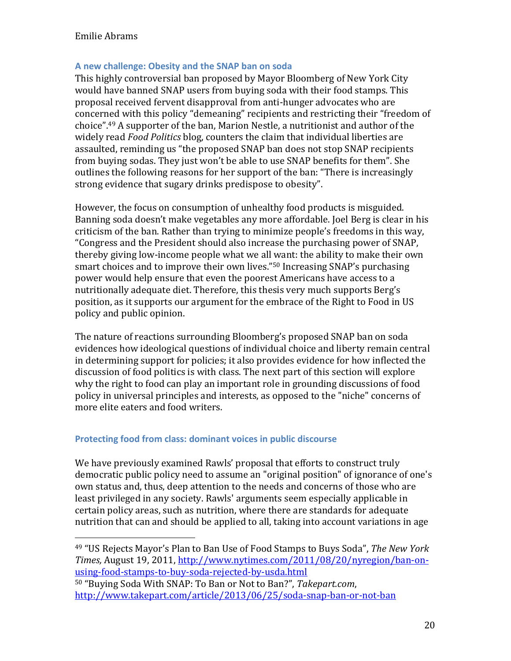$\overline{a}$ 

#### A new challenge: Obesity and the SNAP ban on soda

This highly controversial ban proposed by Mayor Bloomberg of New York City would have banned SNAP users from buying soda with their food stamps. This proposal received fervent disapproval from anti-hunger advocates who are concerned with this policy "demeaning" recipients and restricting their "freedom of choice".49 A supporter of the ban, Marion Nestle, a nutritionist and author of the widely read Food Politics blog, counters the claim that individual liberties are assaulted, reminding us "the proposed SNAP ban does not stop SNAP recipients from buying sodas. They just won't be able to use SNAP benefits for them". She outlines the following reasons for her support of the ban: "There is increasingly strong evidence that sugary drinks predispose to obesity".

However, the focus on consumption of unhealthy food products is misguided. Banning soda doesn't make vegetables any more affordable. Joel Berg is clear in his criticism of the ban. Rather than trying to minimize people's freedoms in this way, "Congress and the President should also increase the purchasing power of SNAP, thereby giving low-income people what we all want: the ability to make their own smart choices and to improve their own lives."50 Increasing SNAP's purchasing power would help ensure that even the poorest Americans have access to a nutritionally adequate diet. Therefore, this thesis very much supports Berg's position, as it supports our argument for the embrace of the Right to Food in US policy and public opinion.

The nature of reactions surrounding Bloomberg's proposed SNAP ban on soda evidences how ideological questions of individual choice and liberty remain central in determining support for policies; it also provides evidence for how inflected the discussion of food politics is with class. The next part of this section will explore why the right to food can play an important role in grounding discussions of food policy in universal principles and interests, as opposed to the "niche" concerns of more elite eaters and food writers.

#### Protecting food from class: dominant voices in public discourse

We have previously examined Rawls' proposal that efforts to construct truly democratic public policy need to assume an "original position" of ignorance of one's own status and, thus, deep attention to the needs and concerns of those who are least privileged in any society. Rawls' arguments seem especially applicable in certain policy areas, such as nutrition, where there are standards for adequate nutrition that can and should be applied to all, taking into account variations in age

<sup>49</sup> "US Rejects Mayor's Plan to Ban Use of Food Stamps to Buys Soda", The New York Times, August 19, 2011, http://www.nytimes.com/2011/08/20/nyregion/ban-onusing-food-stamps-to-buy-soda-rejected-by-usda.html

<sup>50</sup> "Buying Soda With SNAP: To Ban or Not to Ban?", Takepart.com, http://www.takepart.com/article/2013/06/25/soda-snap-ban-or-not-ban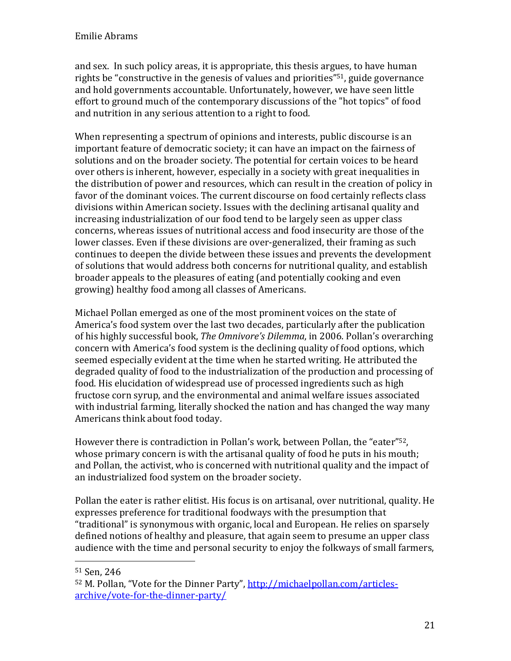and sex. In such policy areas, it is appropriate, this thesis argues, to have human rights be "constructive in the genesis of values and priorities"51, guide governance and hold governments accountable. Unfortunately, however, we have seen little effort to ground much of the contemporary discussions of the "hot topics" of food and nutrition in any serious attention to a right to food.

When representing a spectrum of opinions and interests, public discourse is an important feature of democratic society; it can have an impact on the fairness of solutions and on the broader society. The potential for certain voices to be heard over others is inherent, however, especially in a society with great inequalities in the distribution of power and resources, which can result in the creation of policy in favor of the dominant voices. The current discourse on food certainly reflects class divisions within American society. Issues with the declining artisanal quality and increasing industrialization of our food tend to be largely seen as upper class concerns, whereas issues of nutritional access and food insecurity are those of the lower classes. Even if these divisions are over-generalized, their framing as such continues to deepen the divide between these issues and prevents the development of solutions that would address both concerns for nutritional quality, and establish broader appeals to the pleasures of eating (and potentially cooking and even growing) healthy food among all classes of Americans.

Michael Pollan emerged as one of the most prominent voices on the state of America's food system over the last two decades, particularly after the publication of his highly successful book, The Omnivore's Dilemma, in 2006. Pollan's overarching concern with America's food system is the declining quality of food options, which seemed especially evident at the time when he started writing. He attributed the degraded quality of food to the industrialization of the production and processing of food. His elucidation of widespread use of processed ingredients such as high fructose corn syrup, and the environmental and animal welfare issues associated with industrial farming, literally shocked the nation and has changed the way many Americans think about food today.

However there is contradiction in Pollan's work, between Pollan, the "eater"52, whose primary concern is with the artisanal quality of food he puts in his mouth; and Pollan, the activist, who is concerned with nutritional quality and the impact of an industrialized food system on the broader society.

Pollan the eater is rather elitist. His focus is on artisanal, over nutritional, quality. He expresses preference for traditional foodways with the presumption that "traditional" is synonymous with organic, local and European. He relies on sparsely defined notions of healthy and pleasure, that again seem to presume an upper class audience with the time and personal security to enjoy the folkways of small farmers,

 $\overline{a}$ 

<sup>51</sup> Sen, 246

<sup>52</sup> M. Pollan, "Vote for the Dinner Party", http://michaelpollan.com/articlesarchive/vote-for-the-dinner-party/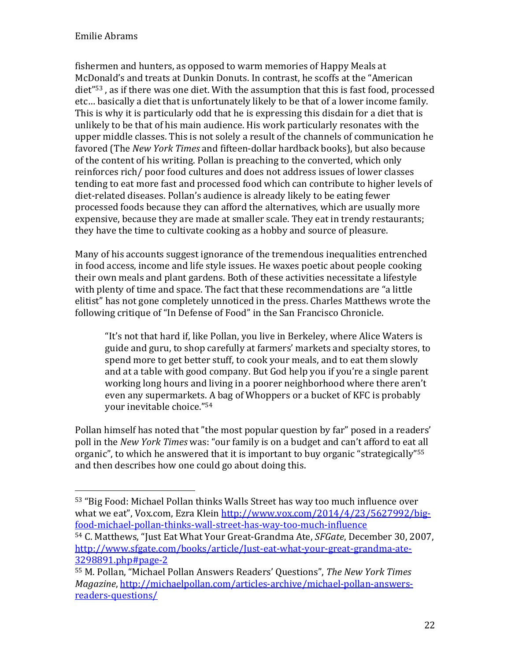$\overline{a}$ 

fishermen and hunters, as opposed to warm memories of Happy Meals at McDonald's and treats at Dunkin Donuts. In contrast, he scoffs at the "American diet"53 , as if there was one diet. With the assumption that this is fast food, processed etc… basically a diet that is unfortunately likely to be that of a lower income family. This is why it is particularly odd that he is expressing this disdain for a diet that is unlikely to be that of his main audience. His work particularly resonates with the upper middle classes. This is not solely a result of the channels of communication he favored (The New York Times and fifteen-dollar hardback books), but also because of the content of his writing. Pollan is preaching to the converted, which only reinforces rich/ poor food cultures and does not address issues of lower classes tending to eat more fast and processed food which can contribute to higher levels of diet-related diseases. Pollan's audience is already likely to be eating fewer processed foods because they can afford the alternatives, which are usually more expensive, because they are made at smaller scale. They eat in trendy restaurants; they have the time to cultivate cooking as a hobby and source of pleasure.

Many of his accounts suggest ignorance of the tremendous inequalities entrenched in food access, income and life style issues. He waxes poetic about people cooking their own meals and plant gardens. Both of these activities necessitate a lifestyle with plenty of time and space. The fact that these recommendations are "a little elitist" has not gone completely unnoticed in the press. Charles Matthews wrote the following critique of "In Defense of Food" in the San Francisco Chronicle.

"It's not that hard if, like Pollan, you live in Berkeley, where Alice Waters is guide and guru, to shop carefully at farmers' markets and specialty stores, to spend more to get better stuff, to cook your meals, and to eat them slowly and at a table with good company. But God help you if you're a single parent working long hours and living in a poorer neighborhood where there aren't even any supermarkets. A bag of Whoppers or a bucket of KFC is probably your inevitable choice."<sup>54</sup>

Pollan himself has noted that "the most popular question by far" posed in a readers' poll in the New York Times was: "our family is on a budget and can't afford to eat all organic", to which he answered that it is important to buy organic "strategically"<sup>55</sup> and then describes how one could go about doing this.

<sup>53</sup> "Big Food: Michael Pollan thinks Walls Street has way too much influence over what we eat", Vox.com, Ezra Klein http://www.vox.com/2014/4/23/5627992/bigfood-michael-pollan-thinks-wall-street-has-way-too-much-influence

<sup>54</sup> C. Matthews, "Just Eat What Your Great-Grandma Ate, SFGate, December 30, 2007, http://www.sfgate.com/books/article/Just-eat-what-your-great-grandma-ate-3298891.php#page-2

<sup>55</sup> M. Pollan, "Michael Pollan Answers Readers' Questions", The New York Times Magazine, http://michaelpollan.com/articles-archive/michael-pollan-answersreaders-questions/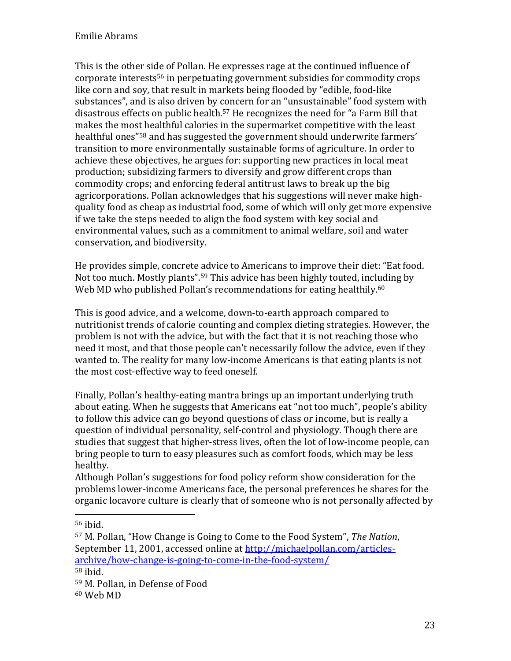This is the other side of Pollan. He expresses rage at the continued influence of corporate interests56 in perpetuating government subsidies for commodity crops like corn and soy, that result in markets being flooded by "edible, food-like substances", and is also driven by concern for an "unsustainable" food system with disastrous effects on public health.57 He recognizes the need for "a Farm Bill that makes the most healthful calories in the supermarket competitive with the least healthful ones<sup>"58</sup> and has suggested the government should underwrite farmers' transition to more environmentally sustainable forms of agriculture. In order to achieve these objectives, he argues for: supporting new practices in local meat production; subsidizing farmers to diversify and grow different crops than commodity crops; and enforcing federal antitrust laws to break up the big agricorporations. Pollan acknowledges that his suggestions will never make highquality food as cheap as industrial food, some of which will only get more expensive if we take the steps needed to align the food system with key social and environmental values, such as a commitment to animal welfare, soil and water conservation, and biodiversity.

He provides simple, concrete advice to Americans to improve their diet: "Eat food. Not too much. Mostly plants".59 This advice has been highly touted, including by Web MD who published Pollan's recommendations for eating healthily.<sup>60</sup>

This is good advice, and a welcome, down-to-earth approach compared to nutritionist trends of calorie counting and complex dieting strategies. However, the problem is not with the advice, but with the fact that it is not reaching those who need it most, and that those people can't necessarily follow the advice, even if they wanted to. The reality for many low-income Americans is that eating plants is not the most cost-effective way to feed oneself.

Finally, Pollan's healthy-eating mantra brings up an important underlying truth about eating. When he suggests that Americans eat "not too much", people's ability to follow this advice can go beyond questions of class or income, but is really a question of individual personality, self-control and physiology. Though there are studies that suggest that higher-stress lives, often the lot of low-income people, can bring people to turn to easy pleasures such as comfort foods, which may be less healthy.

Although Pollan's suggestions for food policy reform show consideration for the problems lower-income Americans face, the personal preferences he shares for the organic locavore culture is clearly that of someone who is not personally affected by

<u>.</u>

<sup>56</sup> ibid.

<sup>57</sup> M. Pollan, "How Change is Going to Come to the Food System", The Nation, September 11, 2001, accessed online at http://michaelpollan.com/articlesarchive/how-change-is-going-to-come-in-the-food-system/

<sup>58</sup> ibid.

<sup>59</sup> M. Pollan, in Defense of Food

<sup>60</sup> Web MD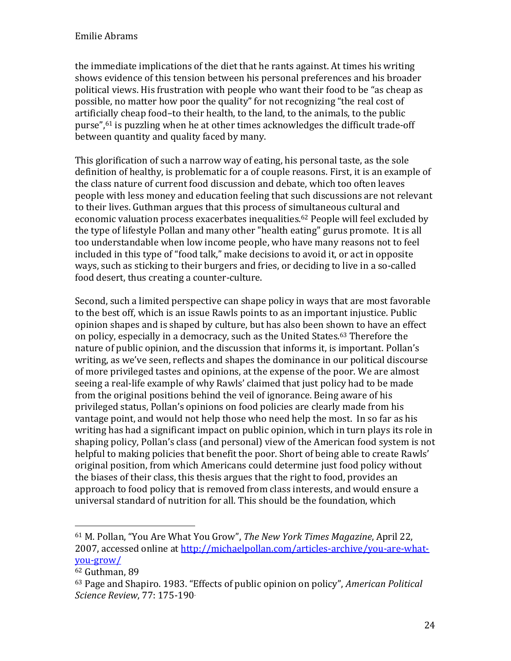the immediate implications of the diet that he rants against. At times his writing shows evidence of this tension between his personal preferences and his broader political views. His frustration with people who want their food to be "as cheap as possible, no matter how poor the quality" for not recognizing "the real cost of artificially cheap food–to their health, to the land, to the animals, to the public purse",61 is puzzling when he at other times acknowledges the difficult trade-off between quantity and quality faced by many.

This glorification of such a narrow way of eating, his personal taste, as the sole definition of healthy, is problematic for a of couple reasons. First, it is an example of the class nature of current food discussion and debate, which too often leaves people with less money and education feeling that such discussions are not relevant to their lives. Guthman argues that this process of simultaneous cultural and economic valuation process exacerbates inequalities. <sup>62</sup> People will feel excluded by the type of lifestyle Pollan and many other "health eating" gurus promote. It is all too understandable when low income people, who have many reasons not to feel included in this type of "food talk," make decisions to avoid it, or act in opposite ways, such as sticking to their burgers and fries, or deciding to live in a so-called food desert, thus creating a counter-culture.

Second, such a limited perspective can shape policy in ways that are most favorable to the best off, which is an issue Rawls points to as an important injustice. Public opinion shapes and is shaped by culture, but has also been shown to have an effect on policy, especially in a democracy, such as the United States.63 Therefore the nature of public opinion, and the discussion that informs it, is important. Pollan's writing, as we've seen, reflects and shapes the dominance in our political discourse of more privileged tastes and opinions, at the expense of the poor. We are almost seeing a real-life example of why Rawls' claimed that just policy had to be made from the original positions behind the veil of ignorance. Being aware of his privileged status, Pollan's opinions on food policies are clearly made from his vantage point, and would not help those who need help the most. In so far as his writing has had a significant impact on public opinion, which in turn plays its role in shaping policy, Pollan's class (and personal) view of the American food system is not helpful to making policies that benefit the poor. Short of being able to create Rawls' original position, from which Americans could determine just food policy without the biases of their class, this thesis argues that the right to food, provides an approach to food policy that is removed from class interests, and would ensure a universal standard of nutrition for all. This should be the foundation, which

<u>.</u>

<sup>61</sup> M. Pollan, "You Are What You Grow", The New York Times Magazine, April 22, 2007, accessed online at http://michaelpollan.com/articles-archive/you-are-whatyou-grow/

<sup>62</sup> Guthman, 89

<sup>63</sup> Page and Shapiro. 1983. "Effects of public opinion on policy", American Political Science Review, 77: 175-190.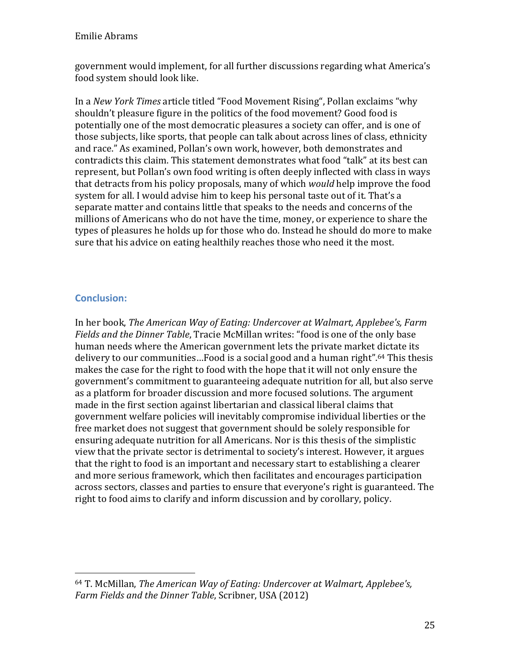government would implement, for all further discussions regarding what America's food system should look like.

In a New York Times article titled "Food Movement Rising", Pollan exclaims "why shouldn't pleasure figure in the politics of the food movement? Good food is potentially one of the most democratic pleasures a society can offer, and is one of those subjects, like sports, that people can talk about across lines of class, ethnicity and race." As examined, Pollan's own work, however, both demonstrates and contradicts this claim. This statement demonstrates what food "talk" at its best can represent, but Pollan's own food writing is often deeply inflected with class in ways that detracts from his policy proposals, many of which would help improve the food system for all. I would advise him to keep his personal taste out of it. That's a separate matter and contains little that speaks to the needs and concerns of the millions of Americans who do not have the time, money, or experience to share the types of pleasures he holds up for those who do. Instead he should do more to make sure that his advice on eating healthily reaches those who need it the most.

# Conclusion:

 $\overline{\phantom{a}}$ 

In her book, The American Way of Eating: Undercover at Walmart, Applebee's, Farm Fields and the Dinner Table, Tracie McMillan writes: "food is one of the only base human needs where the American government lets the private market dictate its delivery to our communities...Food is a social good and a human right".<sup>64</sup> This thesis makes the case for the right to food with the hope that it will not only ensure the government's commitment to guaranteeing adequate nutrition for all, but also serve as a platform for broader discussion and more focused solutions. The argument made in the first section against libertarian and classical liberal claims that government welfare policies will inevitably compromise individual liberties or the free market does not suggest that government should be solely responsible for ensuring adequate nutrition for all Americans. Nor is this thesis of the simplistic view that the private sector is detrimental to society's interest. However, it argues that the right to food is an important and necessary start to establishing a clearer and more serious framework, which then facilitates and encourages participation across sectors, classes and parties to ensure that everyone's right is guaranteed. The right to food aims to clarify and inform discussion and by corollary, policy.

<sup>64</sup> T. McMillan, The American Way of Eating: Undercover at Walmart, Applebee's, Farm Fields and the Dinner Table, Scribner, USA (2012)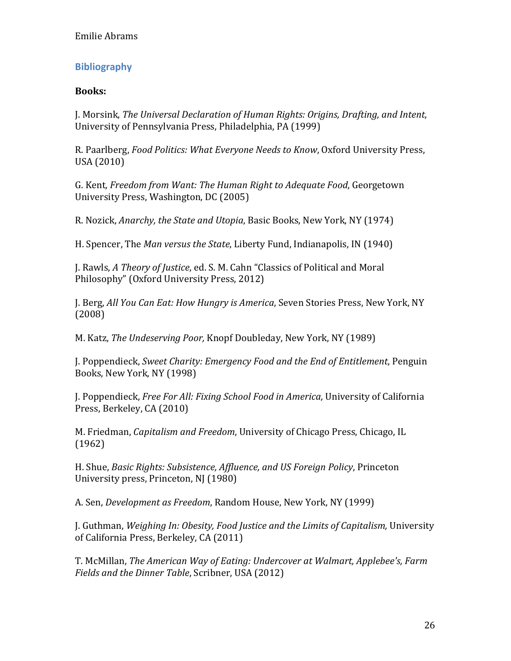## Bibliography

#### Books:

J. Morsink, The Universal Declaration of Human Rights: Origins, Drafting, and Intent, University of Pennsylvania Press, Philadelphia, PA (1999)

R. Paarlberg, Food Politics: What Everyone Needs to Know, Oxford University Press, USA (2010)

G. Kent, Freedom from Want: The Human Right to Adequate Food, Georgetown University Press, Washington, DC (2005)

R. Nozick, Anarchy, the State and Utopia, Basic Books, New York, NY (1974)

H. Spencer, The Man versus the State, Liberty Fund, Indianapolis, IN (1940)

J. Rawls, A Theory of Justice, ed. S. M. Cahn "Classics of Political and Moral Philosophy" (Oxford University Press, 2012)

J. Berg, All You Can Eat: How Hungry is America, Seven Stories Press, New York, NY (2008)

M. Katz, The Undeserving Poor, Knopf Doubleday, New York, NY (1989)

J. Poppendieck, Sweet Charity: Emergency Food and the End of Entitlement, Penguin Books, New York, NY (1998)

J. Poppendieck, Free For All: Fixing School Food in America, University of California Press, Berkeley, CA (2010)

M. Friedman, Capitalism and Freedom, University of Chicago Press, Chicago, IL (1962)

H. Shue, Basic Rights: Subsistence, Affluence, and US Foreign Policy, Princeton University press, Princeton, NJ (1980)

A. Sen, Development as Freedom, Random House, New York, NY (1999)

J. Guthman, Weighing In: Obesity, Food Justice and the Limits of Capitalism, University of California Press, Berkeley, CA (2011)

T. McMillan, The American Way of Eating: Undercover at Walmart, Applebee's, Farm Fields and the Dinner Table, Scribner, USA (2012)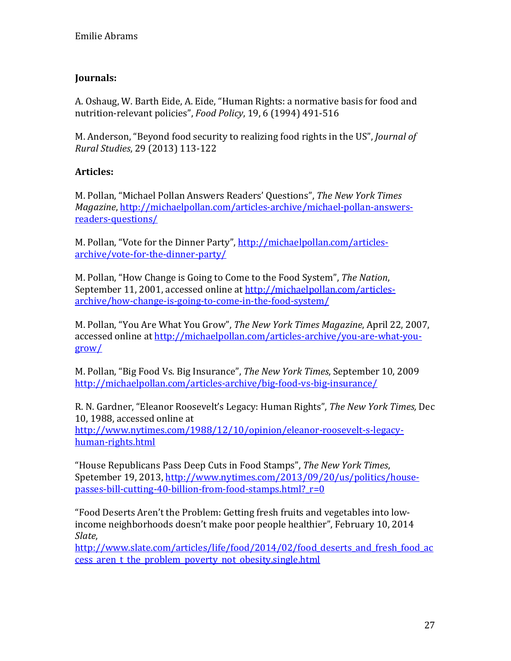# Journals:

A. Oshaug, W. Barth Eide, A. Eide, "Human Rights: a normative basis for food and nutrition-relevant policies", Food Policy, 19, 6 (1994) 491-516

M. Anderson, "Beyond food security to realizing food rights in the US", Journal of Rural Studies, 29 (2013) 113-122

### Articles:

M. Pollan, "Michael Pollan Answers Readers' Questions", The New York Times Magazine, http://michaelpollan.com/articles-archive/michael-pollan-answersreaders-questions/

M. Pollan, "Vote for the Dinner Party", http://michaelpollan.com/articlesarchive/vote-for-the-dinner-party/

M. Pollan, "How Change is Going to Come to the Food System", The Nation, September 11, 2001, accessed online at http://michaelpollan.com/articlesarchive/how-change-is-going-to-come-in-the-food-system/

M. Pollan, "You Are What You Grow", The New York Times Magazine, April 22, 2007, accessed online at http://michaelpollan.com/articles-archive/you-are-what-yougrow/

M. Pollan, "Big Food Vs. Big Insurance", The New York Times, September 10, 2009 http://michaelpollan.com/articles-archive/big-food-vs-big-insurance/

R. N. Gardner, "Eleanor Roosevelt's Legacy: Human Rights", The New York Times, Dec 10, 1988, accessed online at http://www.nytimes.com/1988/12/10/opinion/eleanor-roosevelt-s-legacyhuman-rights.html

"House Republicans Pass Deep Cuts in Food Stamps", The New York Times, Spetember 19, 2013, http://www.nytimes.com/2013/09/20/us/politics/housepasses-bill-cutting-40-billion-from-food-stamps.html? r=0

"Food Deserts Aren't the Problem: Getting fresh fruits and vegetables into lowincome neighborhoods doesn't make poor people healthier", February 10, 2014 Slate,

http://www.slate.com/articles/life/food/2014/02/food deserts and fresh food ac cess aren t the problem poverty not obesity.single.html